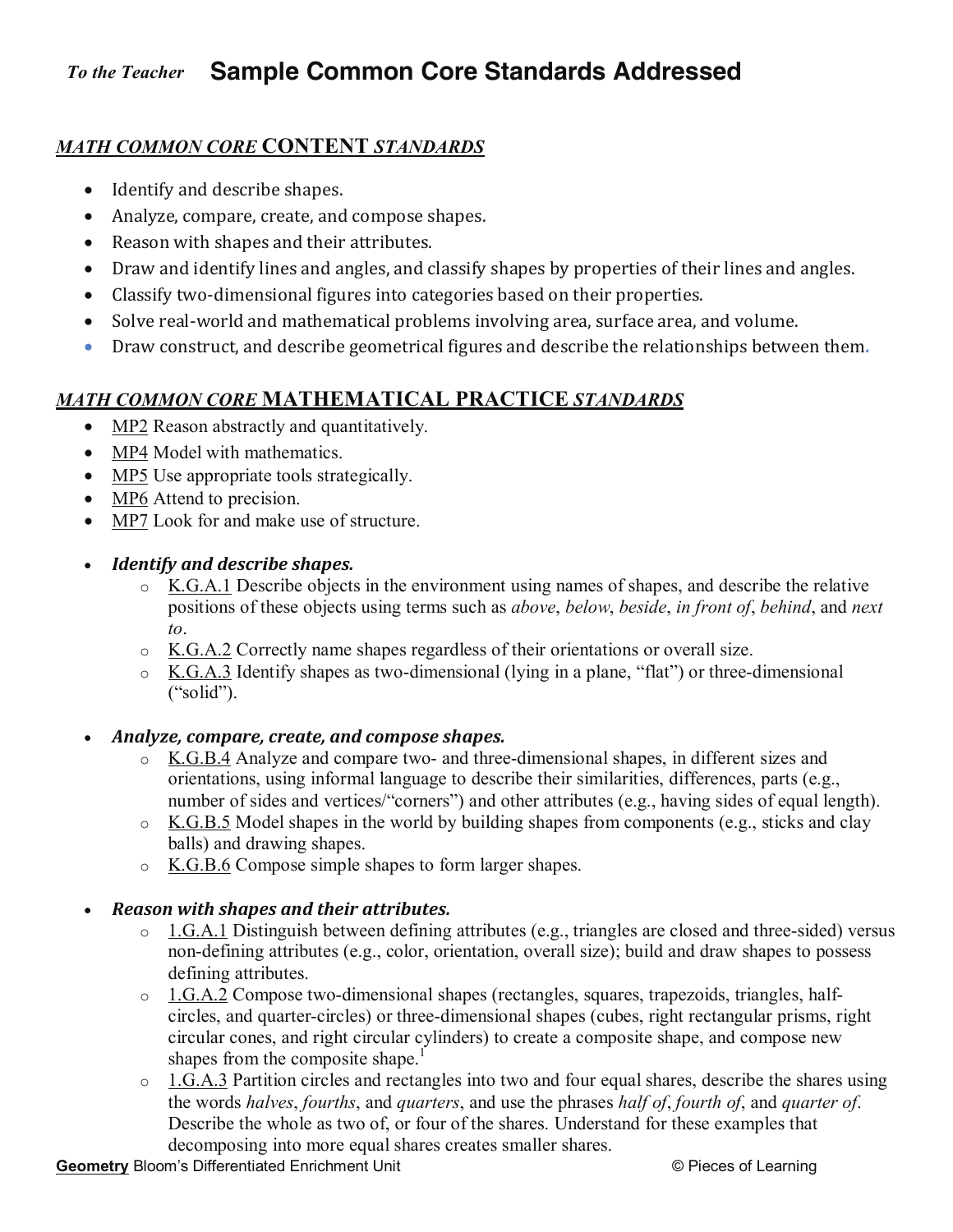#### **Sample Common Core Standards Addressed**  *To the Teacher*

# *MATH COMMON CORE* **CONTENT** *STANDARDS*

- Identify and describe shapes.
- Analyze, compare, create, and compose shapes.
- Reason with shapes and their attributes.
- Draw and identify lines and angles, and classify shapes by properties of their lines and angles.
- Classify two-dimensional figures into categories based on their properties.
- Solve real-world and mathematical problems involving area, surface area, and volume.
- Draw construct, and describe geometrical figures and describe the relationships between them*.*

# *MATH COMMON CORE* **MATHEMATICAL PRACTICE** *STANDARDS*

- MP2 Reason abstractly and quantitatively.
- MP4 Model with mathematics.
- MP5 Use appropriate tools strategically.
- MP6 Attend to precision.
- MP7 Look for and make use of structure.
- *Identify and describe shapes.* 
	- o K.G.A.1 Describe objects in the environment using names of shapes, and describe the relative positions of these objects using terms such as *above*, *below*, *beside*, *in front of*, *behind*, and *next to*.
	- $\circ$  K.G.A.2 Correctly name shapes regardless of their orientations or overall size.
	- o K.G.A.3 Identify shapes as two-dimensional (lying in a plane, "flat") or three-dimensional ("solid").
- *Analyze, compare, create, and compose shapes.* 
	- o K.G.B.4 Analyze and compare two- and three-dimensional shapes, in different sizes and orientations, using informal language to describe their similarities, differences, parts (e.g., number of sides and vertices/"corners") and other attributes (e.g., having sides of equal length).
	- $\circ$  K.G.B.5 Model shapes in the world by building shapes from components (e.g., sticks and clay balls) and drawing shapes.
	- o K.G.B.6 Compose simple shapes to form larger shapes.

## *Reason with shapes and their attributes.*

- o 1.G.A.1 Distinguish between defining attributes (e.g., triangles are closed and three-sided) versus non-defining attributes (e.g., color, orientation, overall size); build and draw shapes to possess defining attributes.
- o 1.G.A.2 Compose two-dimensional shapes (rectangles, squares, trapezoids, triangles, halfcircles, and quarter-circles) or three-dimensional shapes (cubes, right rectangular prisms, right circular cones, and right circular cylinders) to create a composite shape, and compose new shapes from the composite shape. $\frac{1}{1}$
- o 1.G.A.3 Partition circles and rectangles into two and four equal shares, describe the shares using the words *halves*, *fourths*, and *quarters*, and use the phrases *half of*, *fourth of*, and *quarter of*. Describe the whole as two of, or four of the shares. Understand for these examples that decomposing into more equal shares creates smaller shares.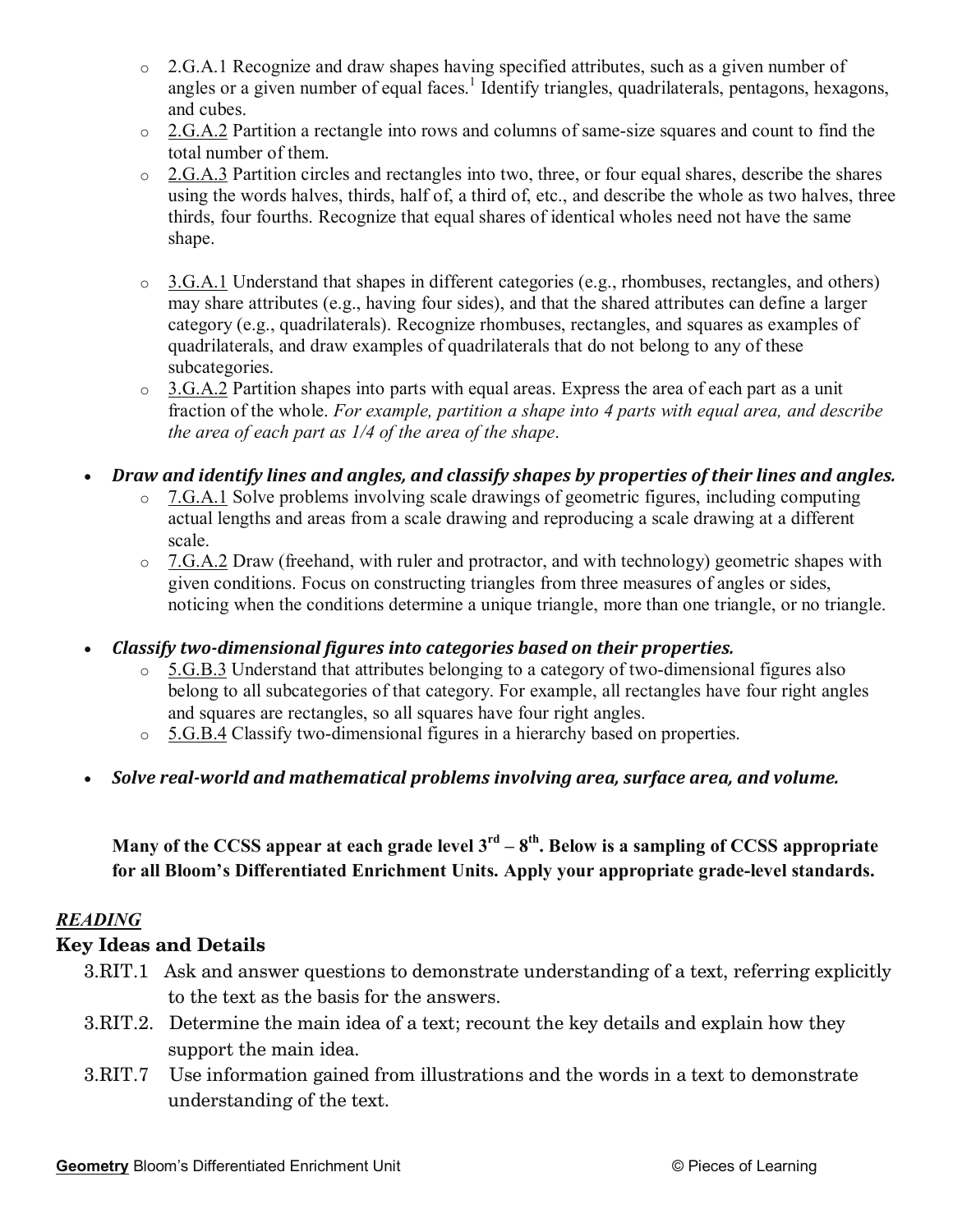- o 2.G.A.1 Recognize and draw shapes having specified attributes, such as a given number of angles or a given number of equal faces.<sup>1</sup> Identify triangles, quadrilaterals, pentagons, hexagons, and cubes.
- o 2.G.A.2 Partition a rectangle into rows and columns of same-size squares and count to find the total number of them.
- o 2.G.A.3 Partition circles and rectangles into two, three, or four equal shares, describe the shares using the words halves, thirds, half of, a third of, etc., and describe the whole as two halves, three thirds, four fourths. Recognize that equal shares of identical wholes need not have the same shape.
- o 3.G.A.1 Understand that shapes in different categories (e.g., rhombuses, rectangles, and others) may share attributes (e.g., having four sides), and that the shared attributes can define a larger category (e.g., quadrilaterals). Recognize rhombuses, rectangles, and squares as examples of quadrilaterals, and draw examples of quadrilaterals that do not belong to any of these subcategories.
- $\circ$  3.G.A.2 Partition shapes into parts with equal areas. Express the area of each part as a unit fraction of the whole. *For example, partition a shape into 4 parts with equal area, and describe the area of each part as 1/4 of the area of the shape*.
- *Draw and identify lines and angles, and classify shapes by properties of their lines and angles.* 
	- o 7.G.A.1 Solve problems involving scale drawings of geometric figures, including computing actual lengths and areas from a scale drawing and reproducing a scale drawing at a different scale.
	- $\circ$  7.G.A.2 Draw (freehand, with ruler and protractor, and with technology) geometric shapes with given conditions. Focus on constructing triangles from three measures of angles or sides, noticing when the conditions determine a unique triangle, more than one triangle, or no triangle.
- *Classify two-dimensional figures into categories based on their properties.* 
	- $\circ$  5.G.B.3 Understand that attributes belonging to a category of two-dimensional figures also belong to all subcategories of that category. For example, all rectangles have four right angles and squares are rectangles, so all squares have four right angles.
	- o 5.G.B.4 Classify two-dimensional figures in a hierarchy based on properties.
- *Solve real-world and mathematical problems involving area, surface area, and volume.*

**Many of the CCSS appear at each grade level 3rd – 8th. Below is a sampling of CCSS appropriate for all Bloom's Differentiated Enrichment Units. Apply your appropriate grade-level standards.** 

#### *READING*

#### **Key Ideas and Details**

- 3.RIT.1 Ask and answer questions to demonstrate understanding of a text, referring explicitly to the text as the basis for the answers.
- 3.RIT.2. Determine the main idea of a text; recount the key details and explain how they support the main idea.
- 3.RIT.7 Use information gained from illustrations and the words in a text to demonstrate understanding of the text.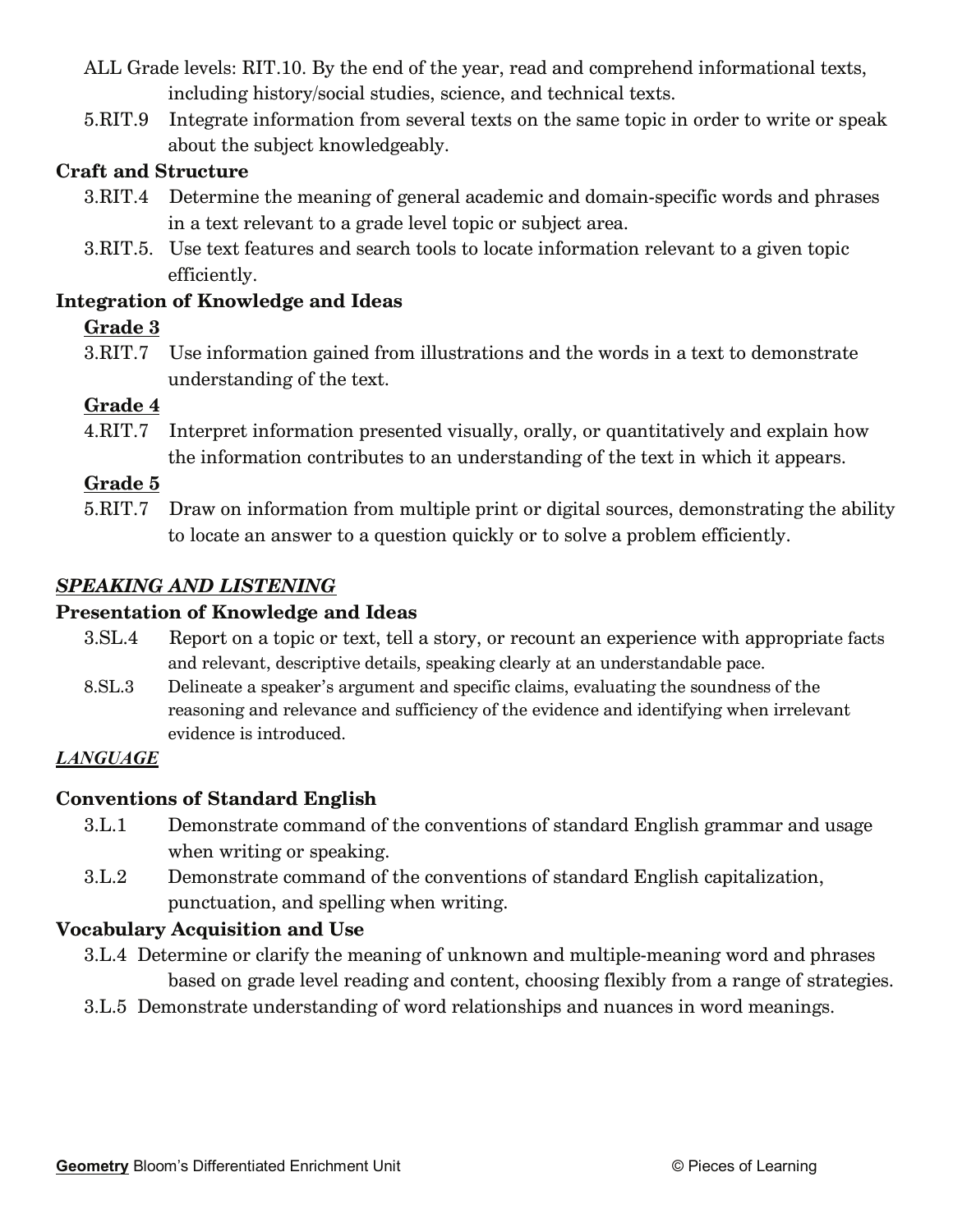- ALL Grade levels: RIT.10. By the end of the year, read and comprehend informational texts, including history/social studies, science, and technical texts.
- 5.RIT.9 Integrate information from several texts on the same topic in order to write or speak about the subject knowledgeably.

## **Craft and Structure**

- 3.RIT.4 Determine the meaning of general academic and domain-specific words and phrases in a text relevant to a grade level topic or subject area.
- 3.RIT.5. Use text features and search tools to locate information relevant to a given topic efficiently.

#### **Integration of Knowledge and Ideas**

## **Grade 3**

3.RIT.7 Use information gained from illustrations and the words in a text to demonstrate understanding of the text.

# **Grade 4**

4.RIT.7 Interpret information presented visually, orally, or quantitatively and explain how the information contributes to an understanding of the text in which it appears.

## **Grade 5**

5.RIT.7 Draw on information from multiple print or digital sources, demonstrating the ability to locate an answer to a question quickly or to solve a problem efficiently.

## *SPEAKING AND LISTENING*

#### **Presentation of Knowledge and Ideas**

- 3.SL.4 Report on a topic or text, tell a story, or recount an experience with appropriate facts and relevant, descriptive details, speaking clearly at an understandable pace.
- 8.SL.3 Delineate a speaker's argument and specific claims, evaluating the soundness of the reasoning and relevance and sufficiency of the evidence and identifying when irrelevant evidence is introduced.

## *LANGUAGE*

## **Conventions of Standard English**

- 3.L.1 Demonstrate command of the conventions of standard English grammar and usage when writing or speaking.
- 3.L.2 Demonstrate command of the conventions of standard English capitalization, punctuation, and spelling when writing.

## **Vocabulary Acquisition and Use**

- 3.L.4 Determine or clarify the meaning of unknown and multiple-meaning word and phrases based on grade level reading and content, choosing flexibly from a range of strategies.
- 3.L.5 Demonstrate understanding of word relationships and nuances in word meanings.